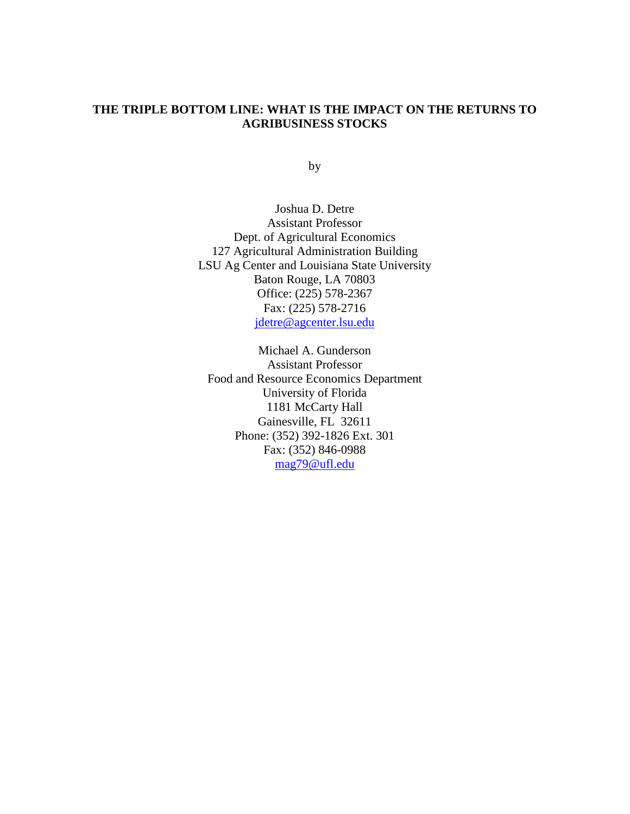## **THE TRIPLE BOTTOM LINE: WHAT IS THE IMPACT ON THE RETURNS TO AGRIBUSINESS STOCKS**

by

Joshua D. Detre Assistant Professor Dept. of Agricultural Economics 127 Agricultural Administration Building LSU Ag Center and Louisiana State University Baton Rouge, LA 70803 Office: (225) 578-2367 Fax: (225) 578-2716 jdetre@agcenter.lsu.edu

Michael A. Gunderson Assistant Professor Food and Resource Economics Department University of Florida 1181 McCarty Hall Gainesville, FL 32611 Phone: (352) 392-1826 Ext. 301 Fax: (352) 846-0988 mag79@ufl.edu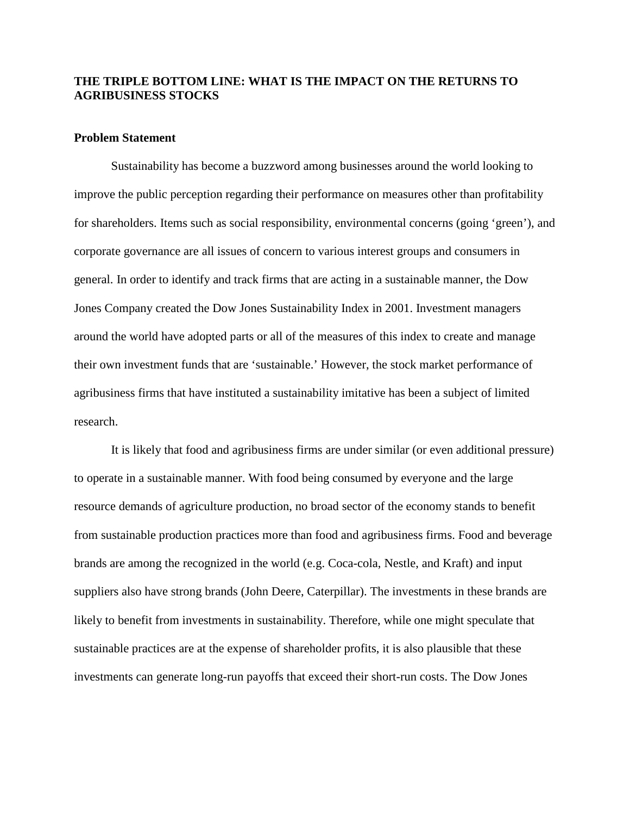# **THE TRIPLE BOTTOM LINE: WHAT IS THE IMPACT ON THE RETURNS TO AGRIBUSINESS STOCKS**

### **Problem Statement**

Sustainability has become a buzzword among businesses around the world looking to improve the public perception regarding their performance on measures other than profitability for shareholders. Items such as social responsibility, environmental concerns (going 'green'), and corporate governance are all issues of concern to various interest groups and consumers in general. In order to identify and track firms that are acting in a sustainable manner, the Dow Jones Company created the Dow Jones Sustainability Index in 2001. Investment managers around the world have adopted parts or all of the measures of this index to create and manage their own investment funds that are 'sustainable.' However, the stock market performance of agribusiness firms that have instituted a sustainability imitative has been a subject of limited research.

It is likely that food and agribusiness firms are under similar (or even additional pressure) to operate in a sustainable manner. With food being consumed by everyone and the large resource demands of agriculture production, no broad sector of the economy stands to benefit from sustainable production practices more than food and agribusiness firms. Food and beverage brands are among the recognized in the world (e.g. Coca-cola, Nestle, and Kraft) and input suppliers also have strong brands (John Deere, Caterpillar). The investments in these brands are likely to benefit from investments in sustainability. Therefore, while one might speculate that sustainable practices are at the expense of shareholder profits, it is also plausible that these investments can generate long-run payoffs that exceed their short-run costs. The Dow Jones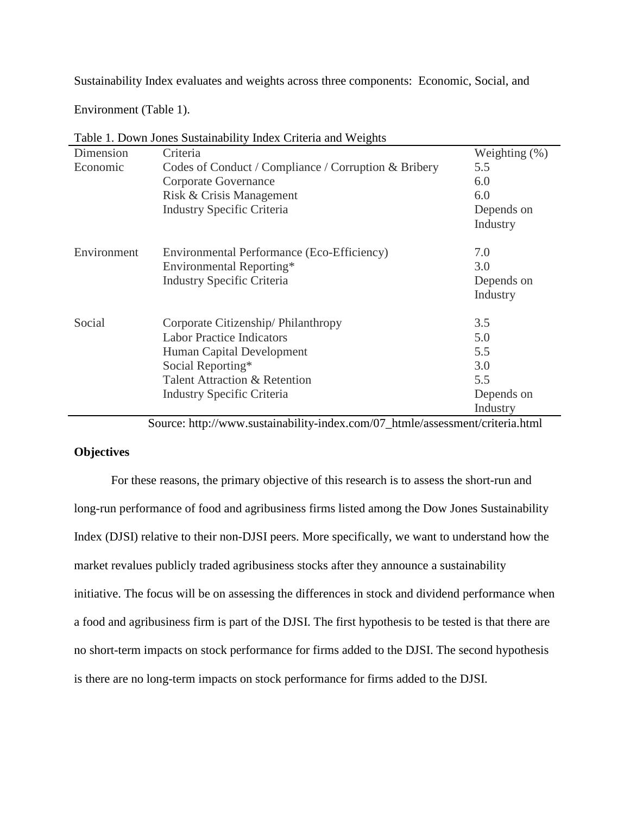Sustainability Index evaluates and weights across three components: Economic, Social, and

Environment (Table 1).

| Dimension   | Criteria                                             | Weighting (%) |
|-------------|------------------------------------------------------|---------------|
| Economic    | Codes of Conduct / Compliance / Corruption & Bribery | 5.5           |
|             | Corporate Governance                                 | 6.0           |
|             | Risk & Crisis Management                             | 6.0           |
|             | <b>Industry Specific Criteria</b>                    | Depends on    |
|             |                                                      | Industry      |
| Environment | Environmental Performance (Eco-Efficiency)           | 7.0           |
|             | Environmental Reporting*                             | 3.0           |
|             | <b>Industry Specific Criteria</b>                    | Depends on    |
|             |                                                      | Industry      |
| Social      | Corporate Citizenship/Philanthropy                   | 3.5           |
|             | <b>Labor Practice Indicators</b>                     | 5.0           |
|             | Human Capital Development                            | 5.5           |
|             | Social Reporting*                                    | 3.0           |
|             | Talent Attraction & Retention                        | 5.5           |
|             | <b>Industry Specific Criteria</b>                    | Depends on    |
|             |                                                      | Industry      |

Table 1. Down Jones Sustainability Index Criteria and Weights

Source: http://www.sustainability-index.com/07\_htmle/assessment/criteria.html

# **Objectives**

For these reasons, the primary objective of this research is to assess the short-run and long-run performance of food and agribusiness firms listed among the Dow Jones Sustainability Index (DJSI) relative to their non-DJSI peers. More specifically, we want to understand how the market revalues publicly traded agribusiness stocks after they announce a sustainability initiative. The focus will be on assessing the differences in stock and dividend performance when a food and agribusiness firm is part of the DJSI. The first hypothesis to be tested is that there are no short-term impacts on stock performance for firms added to the DJSI. The second hypothesis is there are no long-term impacts on stock performance for firms added to the DJSI.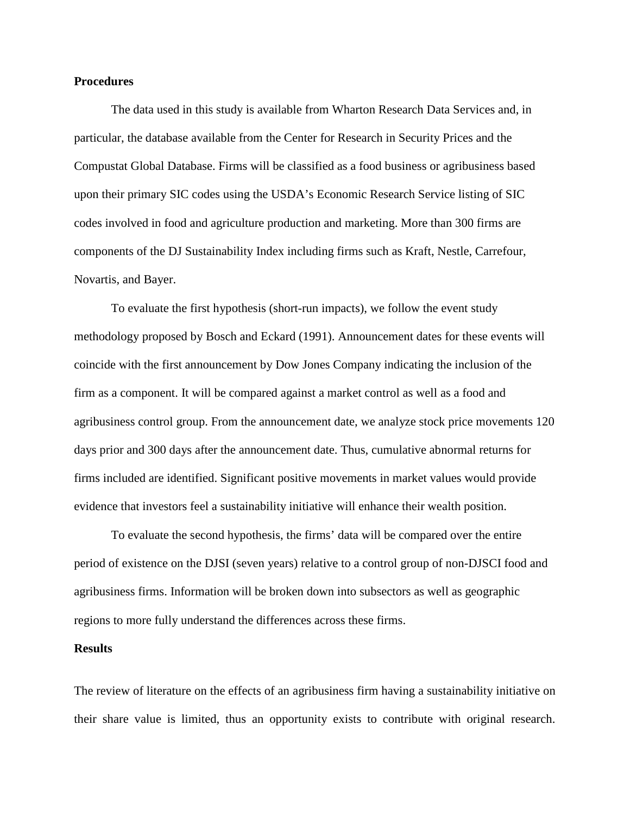### **Procedures**

The data used in this study is available from Wharton Research Data Services and, in particular, the database available from the Center for Research in Security Prices and the Compustat Global Database. Firms will be classified as a food business or agribusiness based upon their primary SIC codes using the USDA's Economic Research Service listing of SIC codes involved in food and agriculture production and marketing. More than 300 firms are components of the DJ Sustainability Index including firms such as Kraft, Nestle, Carrefour, Novartis, and Bayer.

To evaluate the first hypothesis (short-run impacts), we follow the event study methodology proposed by Bosch and Eckard (1991). Announcement dates for these events will coincide with the first announcement by Dow Jones Company indicating the inclusion of the firm as a component. It will be compared against a market control as well as a food and agribusiness control group. From the announcement date, we analyze stock price movements 120 days prior and 300 days after the announcement date. Thus, cumulative abnormal returns for firms included are identified. Significant positive movements in market values would provide evidence that investors feel a sustainability initiative will enhance their wealth position.

To evaluate the second hypothesis, the firms' data will be compared over the entire period of existence on the DJSI (seven years) relative to a control group of non-DJSCI food and agribusiness firms. Information will be broken down into subsectors as well as geographic regions to more fully understand the differences across these firms.

#### **Results**

The review of literature on the effects of an agribusiness firm having a sustainability initiative on their share value is limited, thus an opportunity exists to contribute with original research.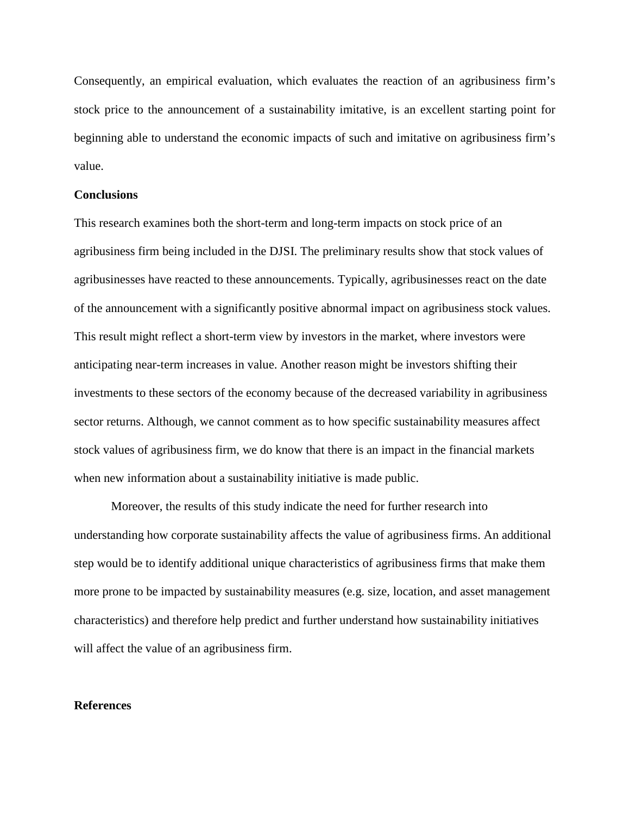Consequently, an empirical evaluation, which evaluates the reaction of an agribusiness firm's stock price to the announcement of a sustainability imitative, is an excellent starting point for beginning able to understand the economic impacts of such and imitative on agribusiness firm's value.

### **Conclusions**

This research examines both the short-term and long-term impacts on stock price of an agribusiness firm being included in the DJSI. The preliminary results show that stock values of agribusinesses have reacted to these announcements. Typically, agribusinesses react on the date of the announcement with a significantly positive abnormal impact on agribusiness stock values. This result might reflect a short-term view by investors in the market, where investors were anticipating near-term increases in value. Another reason might be investors shifting their investments to these sectors of the economy because of the decreased variability in agribusiness sector returns. Although, we cannot comment as to how specific sustainability measures affect stock values of agribusiness firm, we do know that there is an impact in the financial markets when new information about a sustainability initiative is made public.

Moreover, the results of this study indicate the need for further research into understanding how corporate sustainability affects the value of agribusiness firms. An additional step would be to identify additional unique characteristics of agribusiness firms that make them more prone to be impacted by sustainability measures (e.g. size, location, and asset management characteristics) and therefore help predict and further understand how sustainability initiatives will affect the value of an agribusiness firm.

#### **References**